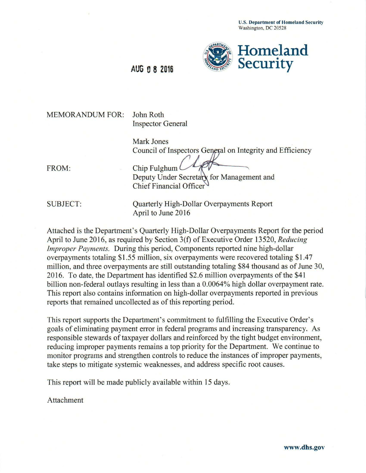U.S. Department of Homeland Security Washington, DC 20528



## MEMORANDUM FOR: John Roth

Inspector General

Mark Jones Council of Inspectors General on Integrity and Efficiency

FROM: Chip Fulghum Deputy Under Secretary for Management and Chief Financial Officer

SUBJECT: Quarterly High-Dollar Overpayments Report April to June 2016

Attached is the Department's Quarterly High-Dollar Overpayments Report for the period April to June 2016, as required by Section 3(f) of Executive Order 13520, *Reducing Improper Payments.* During this period, Components reported nine high-dollar overpayments totaling \$1.55 million, six overpayments were recovered totaling \$1.47 million, and three overpayments are still outstanding totaling \$84 thousand as of June 30, 2016. To date, the Department has identified \$2.6 million overpayments of the \$41 billion non-federal outlays resulting in less than a 0.0064% high dollar overpayment rate. This report also contains information on high-dollar overpayments reported in previous reports that remained uncollected as of this reporting period.

This report supports the Department's commitment to fulfilling the Executive Order's goals of eliminating payment error in federal programs and increasing transparency. As responsible stewards of taxpayer dollars and reinforced by the tight budget environment, reducing improper payments remains a top priority for the Department. We continue to monitor programs and strengthen controls to reduce the instances of improper payments, take steps to mitigate systemic weaknesses, and address specific root causes.

This report will be made publicly available within 15 days.

Attachment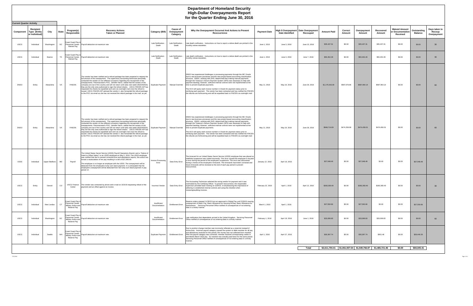## **Department of Homeland Security High-Dollar Overpayments Report**

|                                 |                                                         |                |           |                                                                                                                                                                                                                                                                                                                                                                                                                                                                                                                                                                                                                                                                                                                                                                                                                             |                                    |                                            | <b>High-Dollar Overpayments Report</b><br>for the Quarter Ending June 30, 2016                                                                                                                                                                                                                                                                                                                                                                                                                                                                                                                                                                                                                                                              |                     |                                        |                              |                    |                   |                                                                 |                     |                                                      |                        |                                        |
|---------------------------------|---------------------------------------------------------|----------------|-----------|-----------------------------------------------------------------------------------------------------------------------------------------------------------------------------------------------------------------------------------------------------------------------------------------------------------------------------------------------------------------------------------------------------------------------------------------------------------------------------------------------------------------------------------------------------------------------------------------------------------------------------------------------------------------------------------------------------------------------------------------------------------------------------------------------------------------------------|------------------------------------|--------------------------------------------|---------------------------------------------------------------------------------------------------------------------------------------------------------------------------------------------------------------------------------------------------------------------------------------------------------------------------------------------------------------------------------------------------------------------------------------------------------------------------------------------------------------------------------------------------------------------------------------------------------------------------------------------------------------------------------------------------------------------------------------------|---------------------|----------------------------------------|------------------------------|--------------------|-------------------|-----------------------------------------------------------------|---------------------|------------------------------------------------------|------------------------|----------------------------------------|
| <b>Current Quarter Activity</b> |                                                         |                |           |                                                                                                                                                                                                                                                                                                                                                                                                                                                                                                                                                                                                                                                                                                                                                                                                                             |                                    |                                            |                                                                                                                                                                                                                                                                                                                                                                                                                                                                                                                                                                                                                                                                                                                                             |                     |                                        |                              |                    |                   |                                                                 |                     |                                                      |                        |                                        |
|                                 | Recipient<br>Component   Type (Entity<br>or Individual) | City           | State     | <b>Recovery Actions</b><br>Program(s)<br>Responsible<br><b>Taken or Planned</b>                                                                                                                                                                                                                                                                                                                                                                                                                                                                                                                                                                                                                                                                                                                                             | Category (Bill)                    | <b>Cause of</b><br>Overpayment<br>Category | Why the Overpayment Occurred And Actions to Prevent<br>Reoccurrence                                                                                                                                                                                                                                                                                                                                                                                                                                                                                                                                                                                                                                                                         | <b>Payment Date</b> | High \$ Overpayment<br>Date Identified | Date Overpayment<br>Recouped | <b>Amount Paid</b> | Correct<br>Amount | Overpayment<br>Amount                                           | Recovered<br>Amount | <b>Waived Amount</b><br>or Documentation<br>Received | Outstanding<br>Balance | Days taken to<br>Recoup<br>Overpayment |
| <b>USCG</b>                     | Individual                                              | Washington     |           | Coast Guard Pay &<br>DC Personnel Center - Payroll deduction at maximum rate<br><b>Retired Pay</b>                                                                                                                                                                                                                                                                                                                                                                                                                                                                                                                                                                                                                                                                                                                          | Late Notification<br>Death         | Late Notification -<br>Death               | Late death notification. Instructions on how to report a retiree death are printed in the<br>monthly retiree newsletter.                                                                                                                                                                                                                                                                                                                                                                                                                                                                                                                                                                                                                    | June 1, 2016        | June 3, 2016                           | June 15, 2016                | \$35,437.31        | \$0.00            | \$35,437.31                                                     | \$35,437.31         | \$0.00                                               | \$0.00                 | 30 <sup>°</sup>                        |
| <b>USCG</b>                     | Individual                                              | Boerne         | <b>TX</b> | Coast Guard Pay &<br>Personnel Center - Payroll deduction at maximum rate<br><b>Retired Pay</b>                                                                                                                                                                                                                                                                                                                                                                                                                                                                                                                                                                                                                                                                                                                             | Late Notification<br>Death         | Late Notification -<br>Death               | Late death notification. Instructions on how to report a retiree death are printed in the<br>monthly retiree newsletter.                                                                                                                                                                                                                                                                                                                                                                                                                                                                                                                                                                                                                    | June 1, 2016        | June 3, 2016                           | June 7, 2016                 | \$50,452.29        | \$0.00            | \$50,452.29                                                     | \$50,452.29         | \$0.00                                               | \$0.00                 | 30 <sup>°</sup>                        |
| <b>DNDO</b>                     | Entity                                                  | Alexandria     | VA        | The vendor has been notified and a refund package has been prepared to request the<br>full amount of the overpayment. The supervisory accounting technician personally<br>contacted the vendor on two different occasions regarding the recoupment of the<br>overpayments. Potomacwave's POC, Jennifer Harris, stated that the owners of the<br><b>FINCEN</b><br>company are out of the country and will not return until early next week (06JUN2016); Duplicate Payment<br>they are the only ones authorized to sign the refund checks. USCG FINCEN A/P has<br>requested the checks be expedited and sent via overnight mail once the refund is<br>issued. USCG FINCEN A/P advised the vendor it also forwarded the refund package<br>to the POC via email as she has not received the refund package in the mail, as yet. |                                    |                                            | DNDO has experienced challenges in processing payments through the IBC Oracle<br>due to new business processes and the new project-based accounting classification<br>structure. DNDO, working with DHS, determined that making manual payments<br>through the Treasury's Secure Payment System (SPS) was necessary to help with<br>payment backlog; however, sufficient internal controls were not implemented at the<br>Manual Override time to prevent duplicate payments.<br>The ACO will query each invoice number in Oracle for payment status prior to<br>certifying each payment. The vendor has been contacted and has notified the FINCEN<br>the refunds are forthcoming and will be expedited back to FINCEN via overnight mail. | May 11, 2016        | May 19, 2016                           | June 28, 2016                | \$1,175,643.00     | \$587,678.86      | \$587,964.14                                                    | \$587,964.14        | \$0.00                                               | \$0.00                 | 60                                     |
| <b>DNDO</b>                     | Entity                                                  | Alexandria     | VA        | The vendor has been notified and a refund package has been prepared to request the<br>full amount of the overpayment. The supervisory accounting technician personally<br>contacted the vendor on two different occasions regarding the recoupment of the<br>overpayments. Potomacwave's POC, Jennifer Harris, stated that the owners of the<br><b>FINCEN</b><br>they are the only ones authorized to sign the refund checks. USCG FINCEN A/P has<br>requested the checks be expedited and sent via overnight mail once the refund is<br>issued. USCG FINCEN A/P advised the vendor it also forwarded the refund package<br>to the POC via email as she has not received the refund package in the mail, as yet.                                                                                                            |                                    | Manual Override                            | DNDO has experienced challenges in processing payments through the IBC Oracle<br>due to new business processes and the new project-based accounting classification<br>structure. DNDO, working with DHS, determined that making manual payments<br>through the Treasury's Secure Payment System (SPS) was necessary to help with<br>payment backlog; however, sufficient internal controls were not implemented at the<br>time to prevent duplicate payments.<br>The ACO will query each invoice number in Oracle for payment status prior to<br>certifying each payment. The vendor has been contacted and has notified the FINCEN<br>the refunds are forthcoming and will be expedited back to FINCEN via overnight mail.                 | May 11, 2016        | May 19, 2016                           | June 28, 2016                | \$948,714.69       | \$474,258.68      | \$474,456.01                                                    | \$474,456.01        | \$0.00                                               | \$0.00                 | 60                                     |
| <b>USSS</b>                     | Individual                                              | Upper Marlboro | MD        | The United States Secret Service (USSS) Payroll Operations Branch sent a "Notice of<br>Intent to Offset Salary" to an USSS employee on May 5, 2016. The USSS employee<br>was notified that due to several corrected time and attendance reports, this action has<br>forced a recalculation of her pay resulting in a bill of \$27,048.49.<br>Payroll<br>The employee is no longer an employee with the USSS. The overpayment will be<br>deducted from the employee's lump sum leave payment. It is anticipated that the<br>employee's overpayment will be deducted from her lump sum leave payment in pay<br>period 14.                                                                                                                                                                                                     | <b>Invoice Processing</b><br>Error | Data Entry Error                           | The timecard for an United States Secret Service (USSS) employee that was placed on<br>indefinite suspension was coded incorrectly. This error caused the employee to be paid<br>n error during the period of the employee's suspension. The error was discovered<br>during a review of the employee's timecards. The timecards have been corrected and<br>future timecards will be reviewed at the end of each pay period to prevent<br>reoccurrence                                                                                                                                                                                                                                                                                       | January 12, 2016    | April 16, 2016                         |                              | \$27,048.49        | \$0.00            | \$27,048.49                                                     | \$0.00              | \$0.00                                               | \$27,048.49            |                                        |
| <b>USCG</b>                     | Entity                                                  | Denver         | $\rm{CO}$ | USCG Finance The vendor was contacted by phone and e-mail on 3/23/16 requesting refund of the<br>Center<br>payment and an offset against an invoice.                                                                                                                                                                                                                                                                                                                                                                                                                                                                                                                                                                                                                                                                        |                                    |                                            | The Accounting Technician selected the wrong vendor for payment and it was<br>overlooked by the Certifying Officer. To prevent reoccurrence, the responsible<br>Incorrect Vendor Data Entry Error Supervisor provided team training on 3/29/16, re-emphasizing the importance of<br>adhering to established internal controls and using the checklist when<br>reviewing/auditing invoices.                                                                                                                                                                                                                                                                                                                                                  | February 22, 2016   | April 1, 2016                          | April 13, 2016               | \$283,360.40       | \$0.00            | \$283,360.40                                                    | \$283,360.40        | \$0.00                                               | \$0.00                 |                                        |
| <b>USCG</b>                     | Individual                                              | New London     | <b>CT</b> | Coast Guard Pay &<br>Personnel Center -<br>Payroll deduction at maximum rate<br>Military Active and<br>Reserve Pav                                                                                                                                                                                                                                                                                                                                                                                                                                                                                                                                                                                                                                                                                                          | Insufficient<br>Documentation      | <b>Entitlement Error</b>                   | Reserve orders stopped 11/30/15 but not approved in Global Pay until 2/29/16 causing<br>overpayment of Basic Pay, Basic Allowance for Housing W/Dep, Basic Allowance for<br>Subsistence. Servicing Personnel Office notified of consequences of not entering<br>data in a timely manner.                                                                                                                                                                                                                                                                                                                                                                                                                                                    | March 1, 2016       | April 1, 2016                          |                              | \$27,550.66        | \$0.00            | \$27,550.66                                                     | \$0.00              | \$0.00                                               | \$27,550.66            |                                        |
| <b>USCG</b>                     | Individual                                              | Washington     | DC        | Coast Guard Pay &<br>Personnel Center -<br>Payroll deduction at maximum rate<br>Military Active and<br>Reserve Pay                                                                                                                                                                                                                                                                                                                                                                                                                                                                                                                                                                                                                                                                                                          | Insufficient<br>Documentation      | <b>Entitlement Error</b>                   | Late notification that dependents arrived in the United Kingdom. Servicing Personnel<br>Office notified of consequences of not entering data in a timely manner.                                                                                                                                                                                                                                                                                                                                                                                                                                                                                                                                                                            | February 1, 2016    | April 19, 2016                         | June 1, 2016                 | \$33,099.83        | \$0.00            | \$33,099.83                                                     | \$33,099.83         | \$0.00                                               | \$0.00                 | 60                                     |
| <b>USCG</b>                     | Individual                                              | Seattle        | WA        | Coast Guard Pay &<br>Personnel Center -<br>Payroll deduction at maximum rate.<br>Military Active and<br>Reserve Pay                                                                                                                                                                                                                                                                                                                                                                                                                                                                                                                                                                                                                                                                                                         | Duplicate Payment                  | <b>Entitlement Error</b>                   | Due to position change member was incorrectly reflected as a reservist instead of<br>Active duty. Incorrect payroll category caused the system to debit member for all pay<br>and allowances received for this period, this money was not collected from member.<br>After the payroll category was corrected, member received corresponding credits in<br>end-Month March 2016 pay. So member was actually paid twice for the same period.<br>Servicing Personnel Office notified of consequences of not entering data in a timely<br>manner.                                                                                                                                                                                               | April 1, 2016       | April 27, 2016                         |                              | \$30,397.74        | \$0.00            | \$30,397.74                                                     | \$951.48            | \$0.00                                               | \$29,446.26            |                                        |
|                                 |                                                         |                |           |                                                                                                                                                                                                                                                                                                                                                                                                                                                                                                                                                                                                                                                                                                                                                                                                                             |                                    |                                            |                                                                                                                                                                                                                                                                                                                                                                                                                                                                                                                                                                                                                                                                                                                                             |                     |                                        | Total                        |                    |                   | $$2,611,704.41$ $$1,061,937.54$ $$1,549,766.87$ $$1,465,721.46$ |                     | \$0.00                                               | \$84,045.41            |                                        |
|                                 |                                                         |                |           |                                                                                                                                                                                                                                                                                                                                                                                                                                                                                                                                                                                                                                                                                                                                                                                                                             |                                    |                                            |                                                                                                                                                                                                                                                                                                                                                                                                                                                                                                                                                                                                                                                                                                                                             |                     |                                        |                              |                    |                   |                                                                 |                     |                                                      |                        |                                        |

Page 1 of 4<br>Page 1 of 4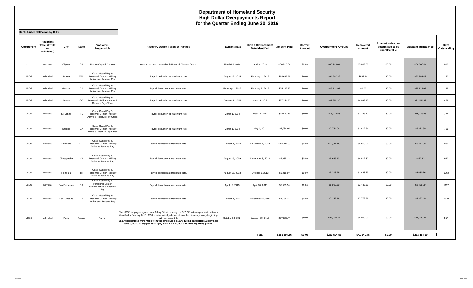## **Department of Homeland Security High-Dollar Overpayments Report for the Quarter Ending June 30, 2016**

| <b>Debts Under Collection by DHS</b> |                                                |               |              |                                                                                 |                                                                                                                                                                                                                                                                                                                                                                                                  |                     |                                                      |                    |                   |                           |                     |                                                       |                            |                     |
|--------------------------------------|------------------------------------------------|---------------|--------------|---------------------------------------------------------------------------------|--------------------------------------------------------------------------------------------------------------------------------------------------------------------------------------------------------------------------------------------------------------------------------------------------------------------------------------------------------------------------------------------------|---------------------|------------------------------------------------------|--------------------|-------------------|---------------------------|---------------------|-------------------------------------------------------|----------------------------|---------------------|
| Component                            | Recipient<br>Type (Entity<br>or<br>Individual) | City          | <b>State</b> | Program(s)<br>Responsible                                                       | Recovery Action Taken or Planned                                                                                                                                                                                                                                                                                                                                                                 | <b>Payment Date</b> | <b>High \$ Overpayment</b><br><b>Date Identified</b> | <b>Amount Paid</b> | Correct<br>Amount | <b>Overpayment Amount</b> | Recovered<br>Amount | Amount waived or<br>determined to be<br>uncollectable | <b>Outstanding Balance</b> | Days<br>Outstanding |
| <b>FLETC</b>                         | Individual                                     | Glynco        | GA           | Human Capital Division                                                          | A debt has been created with National Finance Center                                                                                                                                                                                                                                                                                                                                             | March 26, 2014      | April 4, 2014                                        | \$36,725.84        | \$0.00            | \$36,725.84               | \$5,839,00          | \$0.00                                                | \$30,886.84                | 818                 |
| <b>USCG</b>                          | Individual                                     | Seattle       | WA           | Coast Guard Pay &<br>Personnel Center - Military<br>Active and Reserve Pay      | Payroll deduction at maximum rate                                                                                                                                                                                                                                                                                                                                                                | August 15, 2015     | February 1, 2016                                     | \$64,687.36        | \$0.00            | \$64,687.36               | \$983.94            | \$0.00                                                | \$63,703.42                | 150                 |
| <b>USCG</b>                          | Individual                                     | Miramar       | CA           | Coast Guard Pay &<br>Personnel Center - Military<br>Active and Reserve Pay      | Payroll deduction at maximum rate.                                                                                                                                                                                                                                                                                                                                                               | February 1, 2016    | February 5, 2016                                     | \$25,122.97        | \$0.00            | \$25,122.97               | \$0.00              | \$0.00                                                | \$25,122.97                | 146                 |
| <b>USCG</b>                          | Individual                                     | Aurora        | $\rm{CO}$    | Coast Guard Pay &<br>Personnel - Military Active &<br>Reserve Pay Office        | Payroll deduction at maximum rate                                                                                                                                                                                                                                                                                                                                                                | January 1, 2015     | March 9, 2015                                        | \$37,254.30        | \$0.00            | \$37,254.30               | \$4,099.97          | \$0.00                                                | \$33,154.33                | 479                 |
| <b>USCG</b>                          | Individual                                     | St. Johns     | FL.          | Coast Guard Pay &<br>Personnel Center - Military<br>Active & Reserve Pay Office | Payroll deduction at maximum rate                                                                                                                                                                                                                                                                                                                                                                | March 1, 2014       | May 15, 2014                                         | \$18,420.83        | \$0.00            | \$18,420.83               | \$2,385.20          | \$0.00                                                | \$16,035.63                | 777                 |
| <b>USCG</b>                          | Individual                                     | Orange        | CA           | Coast Guard Pay &<br>Personnel Center - Military<br>Active & Reserve Pay Office | Payroll deduction at maximum rate                                                                                                                                                                                                                                                                                                                                                                | March 1, 2014       | May 1, 2014                                          | \$7,784.04         | \$0.00            | \$7,784.04                | \$1,412.54          | \$0.00                                                | \$6,371.50                 | 791                 |
| <b>USCG</b>                          | Individual                                     | Baltimore     | MD           | Coast Guard Pay &<br>Personnel Center - Military<br>Active & Reserve Pay        | Payroll deduction at maximum rate.                                                                                                                                                                                                                                                                                                                                                               | October 1, 2013     | December 4, 2013                                     | \$12,307.00        | \$0.00            | \$12,307.00               | \$5,859.91          | \$0.00                                                | \$6,447.09                 | 939                 |
| <b>USCG</b>                          | Individual                                     | Chesapeake    | VA           | Coast Guard Pay &<br>Personnel Center - Military<br>Active & Reserve Pay        | Payroll deduction at maximum rate.                                                                                                                                                                                                                                                                                                                                                               | August 15, 2009     | December 3, 2013                                     | \$5,685.13         | \$0.00            | \$5,685.13                | \$4,812.30          | \$0.00                                                | \$872.83                   | 940                 |
| <b>USCG</b>                          | Individual                                     | Honolulu      | H1           | Coast Guard Pay &<br>Personnel Center - Military<br>Active & Reserve Pay        | Payroll deduction at maximum rate.                                                                                                                                                                                                                                                                                                                                                               | August 15, 2013     | October 1, 2013                                      | \$5,318.99         | \$0.00            | \$5,318.99                | \$1,488.23          | \$0.00                                                | \$3,830.76                 | 1003                |
| <b>USCG</b>                          | Individual                                     | San Francisco | CA           | Coast Guard Pay &<br>Personnel Center<br>Military Active & Reserve<br>Pay       | Payroll deduction at maximum rate.                                                                                                                                                                                                                                                                                                                                                               | April 15, 2013      | April 30, 2013                                       | \$5,923.50         | \$0.00            | \$5,923.50                | \$3,487.61          | \$0.00                                                | \$2,435.89                 | 1157                |
| <b>USCG</b>                          | Individual                                     | New Orleans   | LA           | Coast Guard Pay &<br>Personnel Center - Military<br>Active and Reserve Pay      | Payroll deduction at maximum rate.                                                                                                                                                                                                                                                                                                                                                               | October 1, 2011     | November 25, 2011                                    | \$7,135.16         | \$0.00            | \$7,135.16                | \$2,772.76          | \$0.00                                                | \$4,362.40                 | 1679                |
| USSS                                 | Individual                                     | Paris         | France       | Payroll                                                                         | The USSS employee agreed to a Salary Offset to repay the \$27,229.44 overpayment that was<br>identified in January 2015. \$250 is automatically deducted from his bi-weekly salary beginning<br>with pay period 6.<br>Salary deductions were made from the employee's salary during pay period 10 (pay date<br>June 9, 2016) & pay period 11 (pay date June 23, 2016) for this reporting period. | October 18, 2014    | January 30, 2015                                     | \$27,229.44        | \$0.00            | \$27,229.44               | \$8,000.00          | \$0.00                                                | \$19,229.44                | 517                 |
|                                      |                                                |               |              |                                                                                 |                                                                                                                                                                                                                                                                                                                                                                                                  |                     | Total                                                | \$253,594.56       | \$0.00            | \$253,594.56              | \$41,141.46         | \$0.00                                                | \$212,453.10               |                     |
|                                      |                                                |               |              |                                                                                 |                                                                                                                                                                                                                                                                                                                                                                                                  |                     |                                                      |                    |                   |                           |                     |                                                       |                            |                     |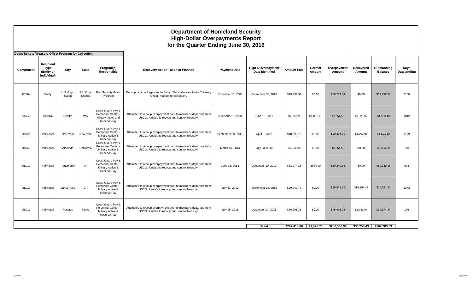## **Department of Homeland Security High-Dollar Overpayments Report for the Quarter Ending June 30, 2016 Debts Sent to Treasury Offset Program for Collection Component Recipient Type (Entity or Individual) City** State **Program(s) Responsible Recovery Action Taken or Planned Payment Date High \$ Overpayment Date Identified Amount Paid Correct Amount Overpayment Amount Recovered Amount Outstanding Balance Days Outstanding** FEMA Entity U.S Virgin Islands U.S. Virgin Islands Port Security Grant Program Recoupment package sent to Entity. Debt later sent to the Treasury age sent to Entity. Debt later sent to the Treasury November 11, 2008 September 30, 2010 \$19,239.54 \$0.00 \$19,239.54 \$0.00 \$19,239.54 2100 USCG | Individual | Seattle | WA Coast Guard Pay & Personnel Center - Military Active and Reserve Pay Attempted to recoup overpayment prior to member's departure from u of recoup overlear prior oriental of the total definition of the November 1, 2008 June 15, 2011 \$8,903.21 \$1,051.71 \$7,851.50 \$6,329.02 \$1,522.48 1842<br>USCG. Unable to recoup and sent to Treasury. USCG | Individual | New York | New York Coast Guard Pay & Personnel Center - Military Active & Reserve Pay Attempted to recoup overpayment prior to member's departure from 1 to recoup overpayment prior to member's departure from September 30, 2011 April 8, 2013 \$10,893.70 \$0.00 \$10,893.70 \$5,001.90 \$5,891.80 1179 USCG Individual Alameda California Coast Guard Pay & Personnel Center - Military Active & Reserve Pay Attempted to recoup overpayment prior to member's departure from d to recoup overpayment prior to member's departure from Narch 15, 2014 July 23, 2014 \$5,554.90 \$0.00 \$5,554.90 \$0.00 \$5,554.90 708 USCG | Individual | Portsmouth | VA Coast Guard Pay & Personnel Center - Military Active & Reserve Pay Attempted to recoup overpayment prior to member's departure from d to recoup overpayment prior to member's departure from divide to the 15, 2013 December 10, 2013 \$51,074.15 \$824.99 \$50,249.16 \$0.00 \$50,249.16 \$60,249.16 933 USCG | Individual | Santa Rose | CA Coast Guard Pay & Personnel Center Military Active & Reserve Pay Attempted to recoup overpayment prior to member's departure from a to recoup overpayment prior to member s departure from divided bully 31, 2012 September 26, 2012 \$29,842.78 \$0.00 \$29,842.78 \$19,191.47 \$10,651.31 1373 USCG | Individual | Houston | Texas Coast Guard Pay & Personnel Center - Military Active & Reserve Pay Attempted to recoup overpayment prior to member's departure from a to recoup overpayment prior to member s departure from divide trom July 15, 2015 December 17, 2015 \$76,905.38 \$1,000 \$76,905.38 \$2,731.04 \$74,174.34 196 **Total \$202,413.66 \$1,876.70 \$200,536.96 \$33,253.43 \$167,283.53**